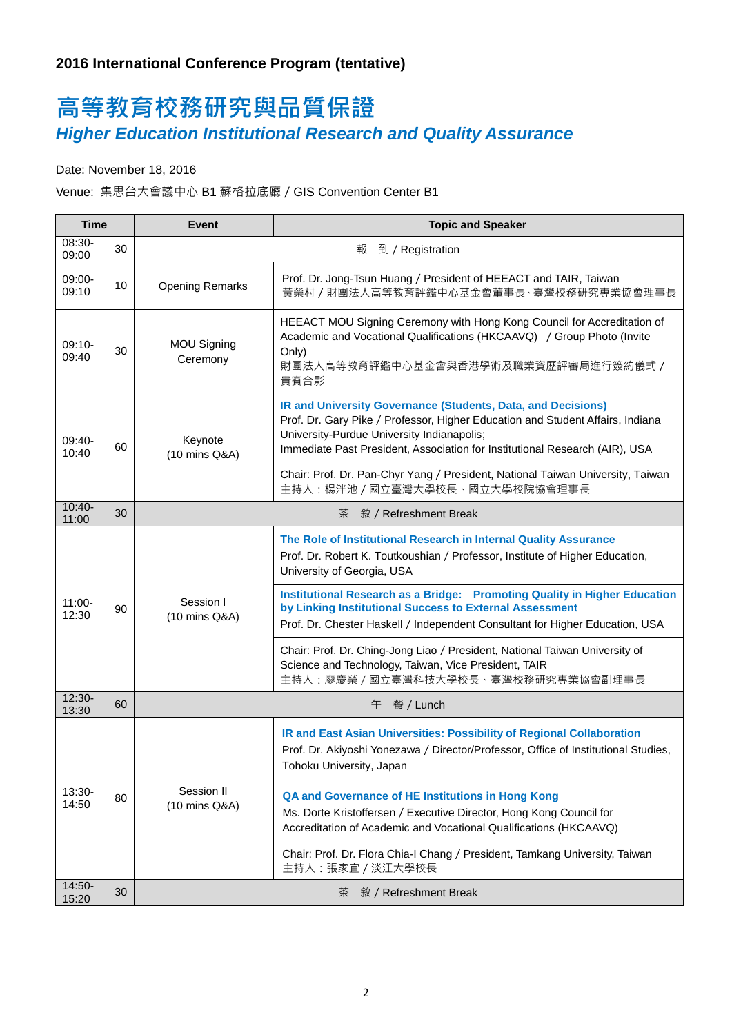## 高等教育校務研究與品質保證 *Higher Education Institutional Research and Quality Assurance*

Date: November 18, 2016

Venue: 集思台大會議中心 B1 蘇格拉底廳/GIS Convention Center B1

| <b>Time</b>        |    | <b>Topic and Speaker</b><br><b>Event</b> |                                                                                                                                                                                                                                                                             |  |  |
|--------------------|----|------------------------------------------|-----------------------------------------------------------------------------------------------------------------------------------------------------------------------------------------------------------------------------------------------------------------------------|--|--|
| 08:30-<br>09:00    | 30 | 報<br>到 / Registration                    |                                                                                                                                                                                                                                                                             |  |  |
| 09:00-<br>09:10    | 10 | <b>Opening Remarks</b>                   | Prof. Dr. Jong-Tsun Huang / President of HEEACT and TAIR, Taiwan<br>黃榮村 / 財團法人高等教育評鑑中心基金會董事長、臺灣校務研究專業協會理事長                                                                                                                                                                  |  |  |
| $09:10-$<br>09:40  | 30 | <b>MOU Signing</b><br>Ceremony           | HEEACT MOU Signing Ceremony with Hong Kong Council for Accreditation of<br>Academic and Vocational Qualifications (HKCAAVQ) / Group Photo (Invite<br>Only)<br>財團法人高等教育評鑑中心基金會與香港學術及職業資歷評審局進行簽約儀式 /<br>貴賓合影                                                                  |  |  |
| 09:40-<br>10:40    | 60 | Keynote<br>(10 mins Q&A)                 | IR and University Governance (Students, Data, and Decisions)<br>Prof. Dr. Gary Pike / Professor, Higher Education and Student Affairs, Indiana<br>University-Purdue University Indianapolis;<br>Immediate Past President, Association for Institutional Research (AIR), USA |  |  |
|                    |    |                                          | Chair: Prof. Dr. Pan-Chyr Yang / President, National Taiwan University, Taiwan<br>主持人:楊泮池 / 國立臺灣大學校長、國立大學校院協會理事長                                                                                                                                                            |  |  |
| $10:40-$<br>11:00  | 30 | 茶<br>敘 / Refreshment Break               |                                                                                                                                                                                                                                                                             |  |  |
| $11:00 -$<br>12:30 | 90 | Session I<br>(10 mins Q&A)               | The Role of Institutional Research in Internal Quality Assurance<br>Prof. Dr. Robert K. Toutkoushian / Professor, Institute of Higher Education,<br>University of Georgia, USA                                                                                              |  |  |
|                    |    |                                          | <b>Institutional Research as a Bridge: Promoting Quality in Higher Education</b><br>by Linking Institutional Success to External Assessment<br>Prof. Dr. Chester Haskell / Independent Consultant for Higher Education, USA                                                 |  |  |
|                    |    |                                          | Chair: Prof. Dr. Ching-Jong Liao / President, National Taiwan University of<br>Science and Technology, Taiwan, Vice President, TAIR<br>主持人:廖慶榮 / 國立臺灣科技大學校長、臺灣校務研究專業協會副理事長                                                                                                  |  |  |
| $12:30-$<br>13:30  | 60 | 午 餐 / Lunch                              |                                                                                                                                                                                                                                                                             |  |  |
| 13:30-<br>14:50    | 80 | Session II<br>(10 mins Q&A)              | IR and East Asian Universities: Possibility of Regional Collaboration<br>Prof. Dr. Akiyoshi Yonezawa / Director/Professor, Office of Institutional Studies,<br>Tohoku University, Japan                                                                                     |  |  |
|                    |    |                                          | QA and Governance of HE Institutions in Hong Kong<br>Ms. Dorte Kristoffersen / Executive Director, Hong Kong Council for<br>Accreditation of Academic and Vocational Qualifications (HKCAAVQ)                                                                               |  |  |
|                    |    |                                          | Chair: Prof. Dr. Flora Chia-I Chang / President, Tamkang University, Taiwan<br>主持人:張家宜 / 淡江大學校長                                                                                                                                                                             |  |  |
| 14:50-<br>15:20    | 30 | 敘 / Refreshment Break<br>茶               |                                                                                                                                                                                                                                                                             |  |  |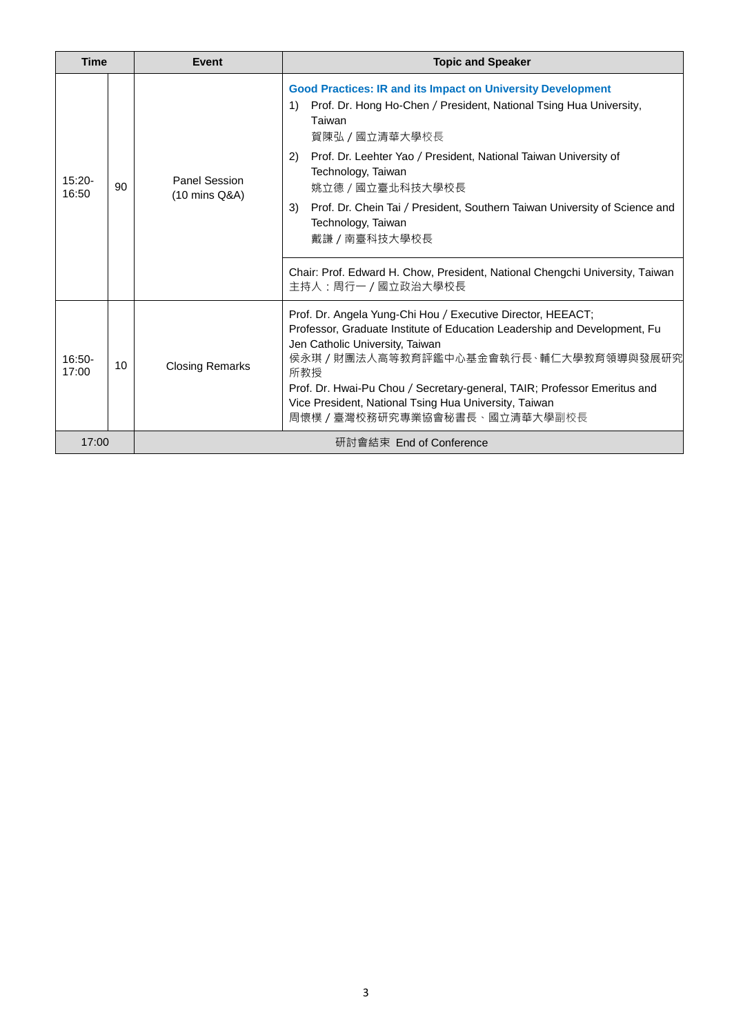| <b>Time</b>        |    | Event                                      | <b>Topic and Speaker</b>                                                                                                                                                                                                                                                                                                                                                                                                                                                                                  |  |
|--------------------|----|--------------------------------------------|-----------------------------------------------------------------------------------------------------------------------------------------------------------------------------------------------------------------------------------------------------------------------------------------------------------------------------------------------------------------------------------------------------------------------------------------------------------------------------------------------------------|--|
| $15:20 -$<br>16:50 | 90 | Panel Session<br>$(10 \text{ mins } Q\&A)$ | <b>Good Practices: IR and its Impact on University Development</b><br>Prof. Dr. Hong Ho-Chen / President, National Tsing Hua University,<br>1)<br>Taiwan<br>賀陳弘 / 國立清華大學校長<br>Prof. Dr. Leehter Yao / President, National Taiwan University of<br>2)<br>Technology, Taiwan<br>姚立德 / 國立臺北科技大學校長<br>Prof. Dr. Chein Tai / President, Southern Taiwan University of Science and<br>3)<br>Technology, Taiwan<br>戴謙 / 南臺科技大學校長<br>Chair: Prof. Edward H. Chow, President, National Chengchi University, Taiwan |  |
|                    |    |                                            | 主持人:周行一 / 國立政治大學校長                                                                                                                                                                                                                                                                                                                                                                                                                                                                                        |  |
| $16:50-$<br>17:00  | 10 | <b>Closing Remarks</b>                     | Prof. Dr. Angela Yung-Chi Hou / Executive Director, HEEACT;<br>Professor, Graduate Institute of Education Leadership and Development, Fu<br>Jen Catholic University, Taiwan<br>侯永琪 / 財團法人高等教育評鑑中心基金會執行長、輔仁大學教育領導與發展研究<br>所教授<br>Prof. Dr. Hwai-Pu Chou / Secretary-general, TAIR; Professor Emeritus and<br>Vice President, National Tsing Hua University, Taiwan<br>周懷樸 / 臺灣校務研究專業協會秘書長、國立清華大學副校長                                                                                                        |  |
| 17:00              |    | 研討會結束 End of Conference                    |                                                                                                                                                                                                                                                                                                                                                                                                                                                                                                           |  |